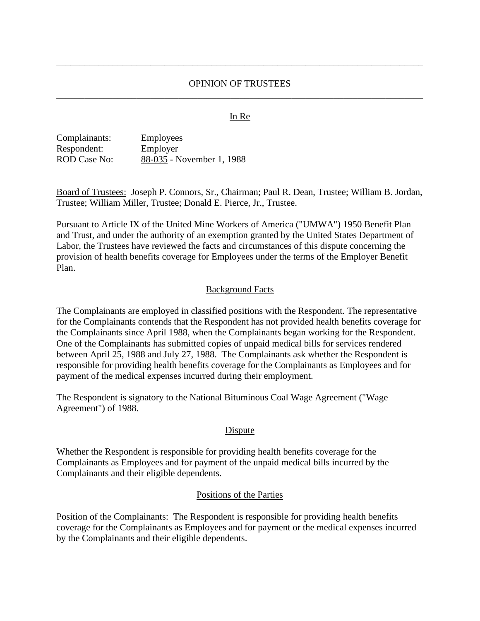## OPINION OF TRUSTEES \_\_\_\_\_\_\_\_\_\_\_\_\_\_\_\_\_\_\_\_\_\_\_\_\_\_\_\_\_\_\_\_\_\_\_\_\_\_\_\_\_\_\_\_\_\_\_\_\_\_\_\_\_\_\_\_\_\_\_\_\_\_\_\_\_\_\_\_\_\_\_\_\_\_\_\_\_\_

\_\_\_\_\_\_\_\_\_\_\_\_\_\_\_\_\_\_\_\_\_\_\_\_\_\_\_\_\_\_\_\_\_\_\_\_\_\_\_\_\_\_\_\_\_\_\_\_\_\_\_\_\_\_\_\_\_\_\_\_\_\_\_\_\_\_\_\_\_\_\_\_\_\_\_\_\_\_

### In Re

| Complainants:       | <b>Employees</b>          |
|---------------------|---------------------------|
| Respondent:         | Employer                  |
| <b>ROD Case No:</b> | 88-035 - November 1, 1988 |

Board of Trustees: Joseph P. Connors, Sr., Chairman; Paul R. Dean, Trustee; William B. Jordan, Trustee; William Miller, Trustee; Donald E. Pierce, Jr., Trustee.

Pursuant to Article IX of the United Mine Workers of America ("UMWA") 1950 Benefit Plan and Trust, and under the authority of an exemption granted by the United States Department of Labor, the Trustees have reviewed the facts and circumstances of this dispute concerning the provision of health benefits coverage for Employees under the terms of the Employer Benefit Plan.

### Background Facts

The Complainants are employed in classified positions with the Respondent. The representative for the Complainants contends that the Respondent has not provided health benefits coverage for the Complainants since April 1988, when the Complainants began working for the Respondent. One of the Complainants has submitted copies of unpaid medical bills for services rendered between April 25, 1988 and July 27, 1988. The Complainants ask whether the Respondent is responsible for providing health benefits coverage for the Complainants as Employees and for payment of the medical expenses incurred during their employment.

The Respondent is signatory to the National Bituminous Coal Wage Agreement ("Wage Agreement") of 1988.

#### Dispute

Whether the Respondent is responsible for providing health benefits coverage for the Complainants as Employees and for payment of the unpaid medical bills incurred by the Complainants and their eligible dependents.

#### Positions of the Parties

Position of the Complainants: The Respondent is responsible for providing health benefits coverage for the Complainants as Employees and for payment or the medical expenses incurred by the Complainants and their eligible dependents.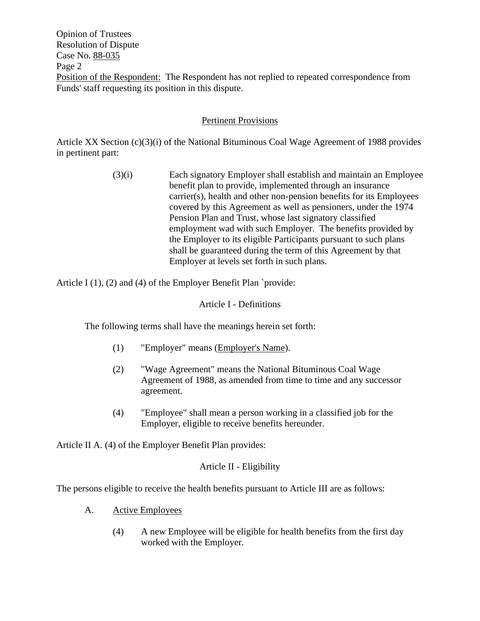Opinion of Trustees Resolution of Dispute Case No. 88-035 Page 2 Position of the Respondent: The Respondent has not replied to repeated correspondence from Funds' staff requesting its position in this dispute.

# Pertinent Provisions

Article XX Section (c)(3)(i) of the National Bituminous Coal Wage Agreement of 1988 provides in pertinent part:

> (3)(i) Each signatory Employer shall establish and maintain an Employee benefit plan to provide, implemented through an insurance carrier(s), health and other non-pension benefits for its Employees covered by this Agreement as well as pensioners, under the 1974 Pension Plan and Trust, whose last signatory classified employment wad with such Employer. The benefits provided by the Employer to its eligible Participants pursuant to such plans shall be guaranteed during the term of this Agreement by that Employer at levels set forth in such plans.

Article I  $(1)$ ,  $(2)$  and  $(4)$  of the Employer Benefit Plan `provide:

Article I - Definitions

The following terms shall have the meanings herein set forth:

- (1) "Employer" means (Employer's Name).
- (2) "Wage Agreement" means the National Bituminous Coal Wage Agreement of 1988, as amended from time to time and any successor agreement.
- (4) "Employee" shall mean a person working in a classified job for the Employer, eligible to receive benefits hereunder.

Article II A. (4) of the Employer Benefit Plan provides:

# Article II - Eligibility

The persons eligible to receive the health benefits pursuant to Article III are as follows:

- A. Active Employees
	- (4) A new Employee will be eligible for health benefits from the first day worked with the Employer.